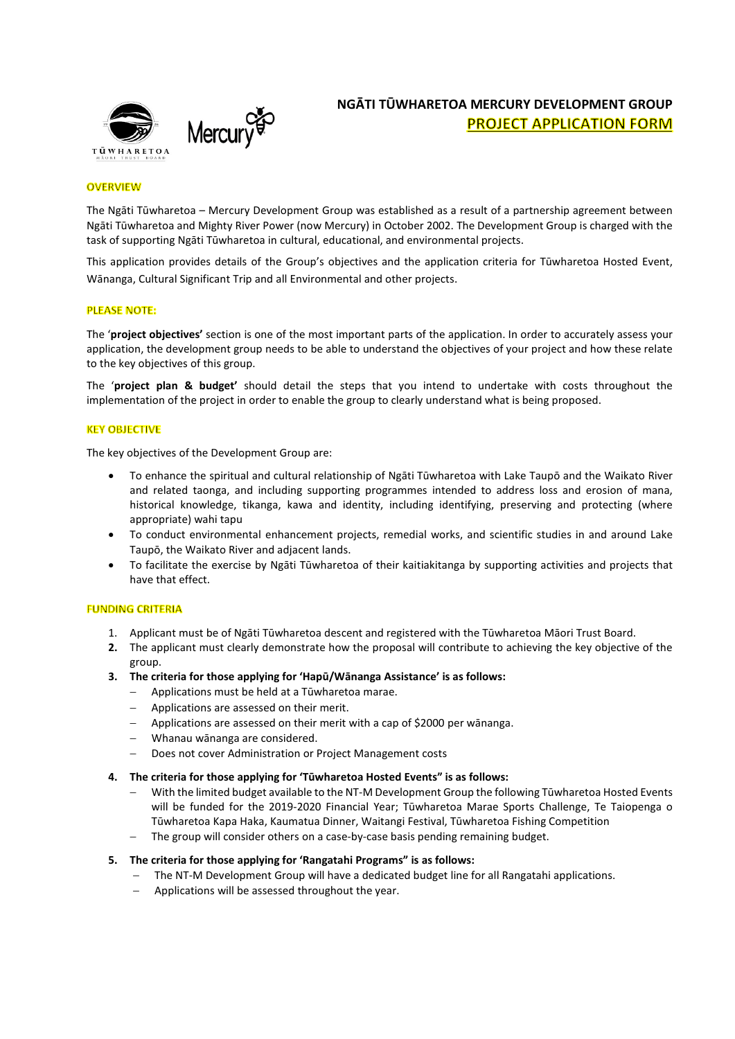

# **NGĀTI TŪWHARETOA MERCURY DEVELOPMENT GROUP PROJECT APPLICATION FORM**

# **OVERVIEW**

The Ngāti Tūwharetoa – Mercury Development Group was established as a result of a partnership agreement between Ngāti Tūwharetoa and Mighty River Power (now Mercury) in October 2002. The Development Group is charged with the task of supporting Ngāti Tūwharetoa in cultural, educational, and environmental projects.

This application provides details of the Group's objectives and the application criteria for Tūwharetoa Hosted Event, Wānanga, Cultural Significant Trip and all Environmental and other projects.

### **PLEASE NOTE:**

The '**project objectives'** section is one of the most important parts of the application. In order to accurately assess your application, the development group needs to be able to understand the objectives of your project and how these relate to the key objectives of this group.

The '**project plan & budget'** should detail the steps that you intend to undertake with costs throughout the implementation of the project in order to enable the group to clearly understand what is being proposed.

### **KEY OBJECTIVE**

The key objectives of the Development Group are:

- To enhance the spiritual and cultural relationship of Ngāti Tūwharetoa with Lake Taupō and the Waikato River and related taonga, and including supporting programmes intended to address loss and erosion of mana, historical knowledge, tikanga, kawa and identity, including identifying, preserving and protecting (where appropriate) wahi tapu
- To conduct environmental enhancement projects, remedial works, and scientific studies in and around Lake Taupō, the Waikato River and adjacent lands.
- To facilitate the exercise by Ngāti Tūwharetoa of their kaitiakitanga by supporting activities and projects that have that effect.

### **FUNDING CRITERIA**

- 1. Applicant must be of Ngāti Tūwharetoa descent and registered with the Tūwharetoa Māori Trust Board.
- **2.** The applicant must clearly demonstrate how the proposal will contribute to achieving the key objective of the group.
- **3. The criteria for those applying for 'Hapū/Wānanga Assistance' is as follows:**
	- Applications must be held at a Tūwharetoa marae.
	- Applications are assessed on their merit.
	- Applications are assessed on their merit with a cap of \$2000 per wānanga.
	- Whanau wānanga are considered.
	- Does not cover Administration or Project Management costs

#### **4. The criteria for those applying for 'Tūwharetoa Hosted Events" is as follows:**

- With the limited budget available to the NT-M Development Group the following Tūwharetoa Hosted Events will be funded for the 2019-2020 Financial Year; Tūwharetoa Marae Sports Challenge, Te Taiopenga o Tūwharetoa Kapa Haka, Kaumatua Dinner, Waitangi Festival, Tūwharetoa Fishing Competition
- The group will consider others on a case-by-case basis pending remaining budget.

# **5. The criteria for those applying for 'Rangatahi Programs" is as follows:**

- The NT-M Development Group will have a dedicated budget line for all Rangatahi applications.
- Applications will be assessed throughout the year.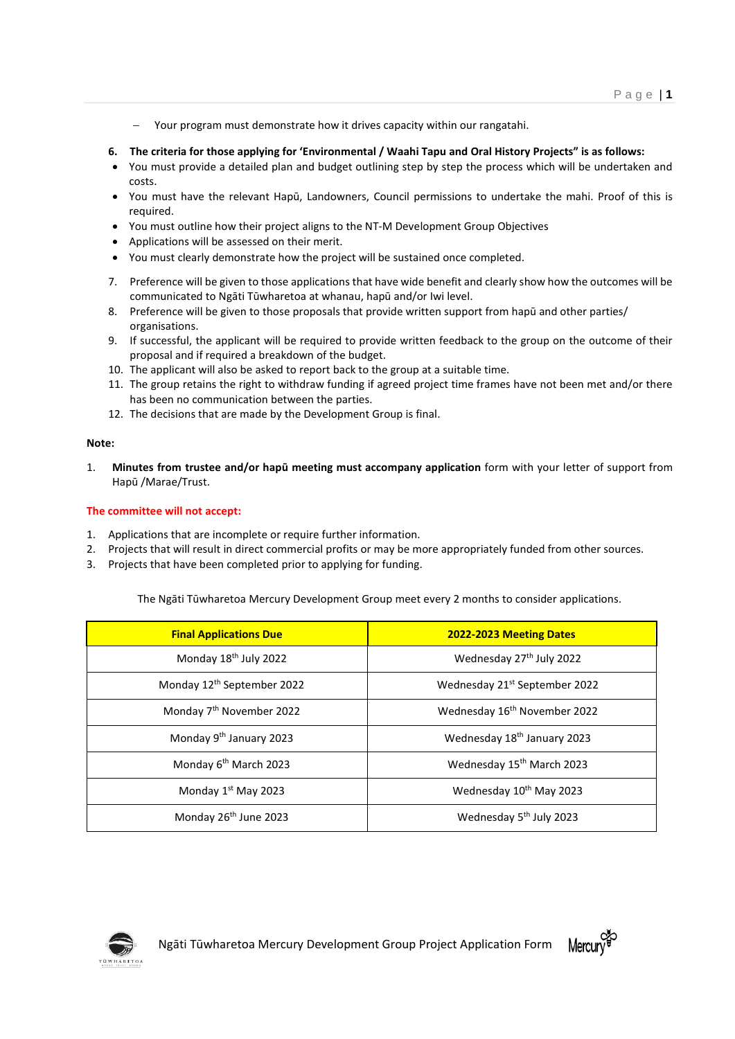- Your program must demonstrate how it drives capacity within our rangatahi.
- **6. The criteria for those applying for 'Environmental / Waahi Tapu and Oral History Projects" is as follows:**
- You must provide a detailed plan and budget outlining step by step the process which will be undertaken and costs.
- You must have the relevant Hapū, Landowners, Council permissions to undertake the mahi. Proof of this is required.
- You must outline how their project aligns to the NT-M Development Group Objectives
- Applications will be assessed on their merit.
- You must clearly demonstrate how the project will be sustained once completed.
- 7. Preference will be given to those applications that have wide benefit and clearly show how the outcomes will be communicated to Ngāti Tūwharetoa at whanau, hapū and/or Iwi level.
- 8. Preference will be given to those proposals that provide written support from hapū and other parties/ organisations.
- 9. If successful, the applicant will be required to provide written feedback to the group on the outcome of their proposal and if required a breakdown of the budget.
- 10. The applicant will also be asked to report back to the group at a suitable time.
- 11. The group retains the right to withdraw funding if agreed project time frames have not been met and/or there has been no communication between the parties.
- 12. The decisions that are made by the Development Group is final.

# **Note:**

1. **Minutes from trustee and/or hapū meeting must accompany application** form with your letter of support from Hapū /Marae/Trust.

# **The committee will not accept:**

- 1. Applications that are incomplete or require further information.
- 2. Projects that will result in direct commercial profits or may be more appropriately funded from other sources.
- 3. Projects that have been completed prior to applying for funding.

The Ngāti Tūwharetoa Mercury Development Group meet every 2 months to consider applications.

| <b>Final Applications Due</b>          | 2022-2023 Meeting Dates                   |
|----------------------------------------|-------------------------------------------|
| Monday 18 <sup>th</sup> July 2022      | Wednesday 27 <sup>th</sup> July 2022      |
| Monday 12 <sup>th</sup> September 2022 | Wednesday 21 <sup>st</sup> September 2022 |
| Monday 7 <sup>th</sup> November 2022   | Wednesday 16 <sup>th</sup> November 2022  |
| Monday 9 <sup>th</sup> January 2023    | Wednesday 18 <sup>th</sup> January 2023   |
| Monday 6 <sup>th</sup> March 2023      | Wednesday 15 <sup>th</sup> March 2023     |
| Monday 1st May 2023                    | Wednesday 10th May 2023                   |
| Monday 26 <sup>th</sup> June 2023      | Wednesday 5 <sup>th</sup> July 2023       |

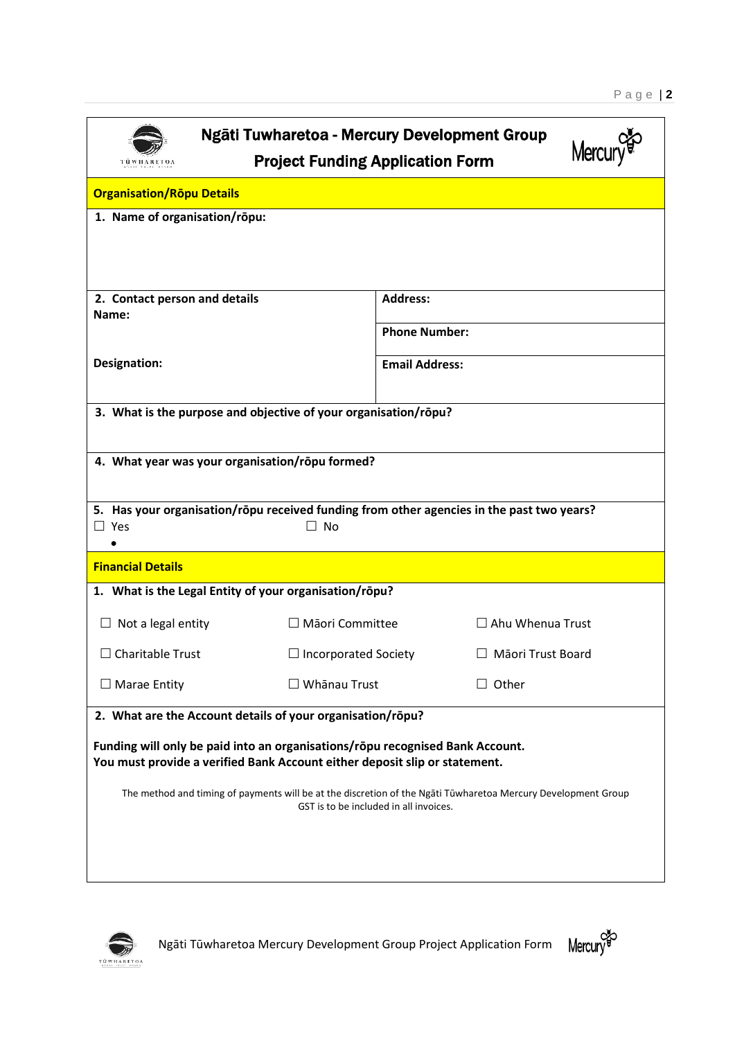| Ngāti Tuwharetoa - Mercury Development Group<br>Mercu<br><b>Project Funding Application Form</b><br>TÜ WILA RETOA                                                                                                         |                                                         |                       |                      |  |  |
|---------------------------------------------------------------------------------------------------------------------------------------------------------------------------------------------------------------------------|---------------------------------------------------------|-----------------------|----------------------|--|--|
| <b>Organisation/Ropu Details</b>                                                                                                                                                                                          |                                                         |                       |                      |  |  |
| 1. Name of organisation/rōpu:                                                                                                                                                                                             |                                                         |                       |                      |  |  |
| 2. Contact person and details<br>Name:                                                                                                                                                                                    |                                                         | <b>Address:</b>       |                      |  |  |
|                                                                                                                                                                                                                           |                                                         |                       | <b>Phone Number:</b> |  |  |
| <b>Designation:</b>                                                                                                                                                                                                       |                                                         | <b>Email Address:</b> |                      |  |  |
| 3. What is the purpose and objective of your organisation/rōpu?                                                                                                                                                           |                                                         |                       |                      |  |  |
|                                                                                                                                                                                                                           | 4. What year was your organisation/rōpu formed?         |                       |                      |  |  |
| 5. Has your organisation/rōpu received funding from other agencies in the past two years?<br>$\Box$ Yes                                                                                                                   | $\Box$ No                                               |                       |                      |  |  |
| <b>Financial Details</b>                                                                                                                                                                                                  |                                                         |                       |                      |  |  |
| 1. What is the Legal Entity of your organisation/rōpu?                                                                                                                                                                    |                                                         |                       |                      |  |  |
| $\Box$ Not a legal entity                                                                                                                                                                                                 | $\Box$ Māori Committee<br>$\Box$ Ahu Whenua Trust       |                       |                      |  |  |
| $\Box$ Charitable Trust                                                                                                                                                                                                   | $\Box$ Incorporated Society<br>$\Box$ Māori Trust Board |                       |                      |  |  |
| $\Box$ Marae Entity                                                                                                                                                                                                       | $\Box$ Whānau Trust<br>$\Box$ Other                     |                       |                      |  |  |
| 2. What are the Account details of your organisation/rōpu?<br>Funding will only be paid into an organisations/rōpu recognised Bank Account.<br>You must provide a verified Bank Account either deposit slip or statement. |                                                         |                       |                      |  |  |
| The method and timing of payments will be at the discretion of the Ngati Tuwharetoa Mercury Development Group<br>GST is to be included in all invoices.                                                                   |                                                         |                       |                      |  |  |



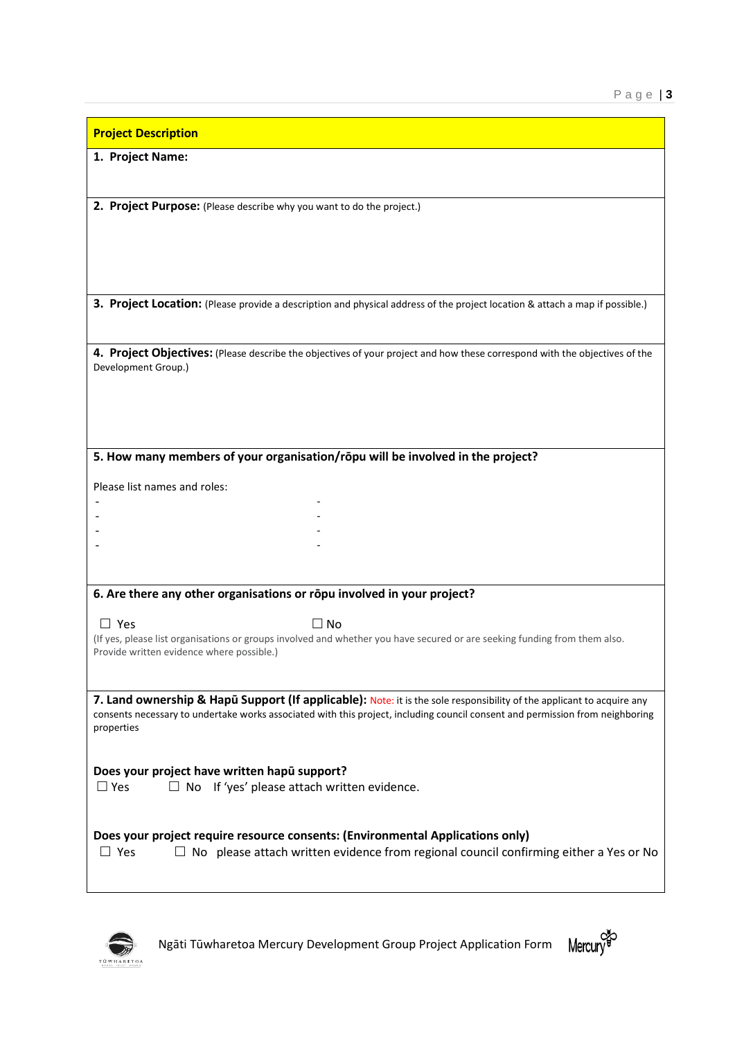| 1. Project Name:<br>2. Project Purpose: (Please describe why you want to do the project.)                                                                              |
|------------------------------------------------------------------------------------------------------------------------------------------------------------------------|
|                                                                                                                                                                        |
|                                                                                                                                                                        |
|                                                                                                                                                                        |
|                                                                                                                                                                        |
|                                                                                                                                                                        |
|                                                                                                                                                                        |
| 3. Project Location: (Please provide a description and physical address of the project location & attach a map if possible.)                                           |
|                                                                                                                                                                        |
| 4. Project Objectives: (Please describe the objectives of your project and how these correspond with the objectives of the                                             |
| Development Group.)                                                                                                                                                    |
|                                                                                                                                                                        |
|                                                                                                                                                                        |
| 5. How many members of your organisation/rōpu will be involved in the project?                                                                                         |
|                                                                                                                                                                        |
| Please list names and roles:                                                                                                                                           |
|                                                                                                                                                                        |
|                                                                                                                                                                        |
|                                                                                                                                                                        |
|                                                                                                                                                                        |
| 6. Are there any other organisations or rōpu involved in your project?                                                                                                 |
| $\Box$ Yes<br>$\Box$ No                                                                                                                                                |
| (If yes, please list organisations or groups involved and whether you have secured or are seeking funding from them also.<br>Provide written evidence where possible.) |
|                                                                                                                                                                        |
| 7. Land ownership & Hapū Support (If applicable): Note: it is the sole responsibility of the applicant to acquire any                                                  |
| consents necessary to undertake works associated with this project, including council consent and permission from neighboring<br>properties                            |
|                                                                                                                                                                        |
| Does your project have written hapu support?                                                                                                                           |
| $\Box$ No If 'yes' please attach written evidence.<br>$\Box$ Yes                                                                                                       |
|                                                                                                                                                                        |
| Does your project require resource consents: (Environmental Applications only)                                                                                         |
| $\Box$ No please attach written evidence from regional council confirming either a Yes or No<br>$\Box$ Yes                                                             |
|                                                                                                                                                                        |



Ngāti Tūwharetoa Mercury Development Group Project Application Form

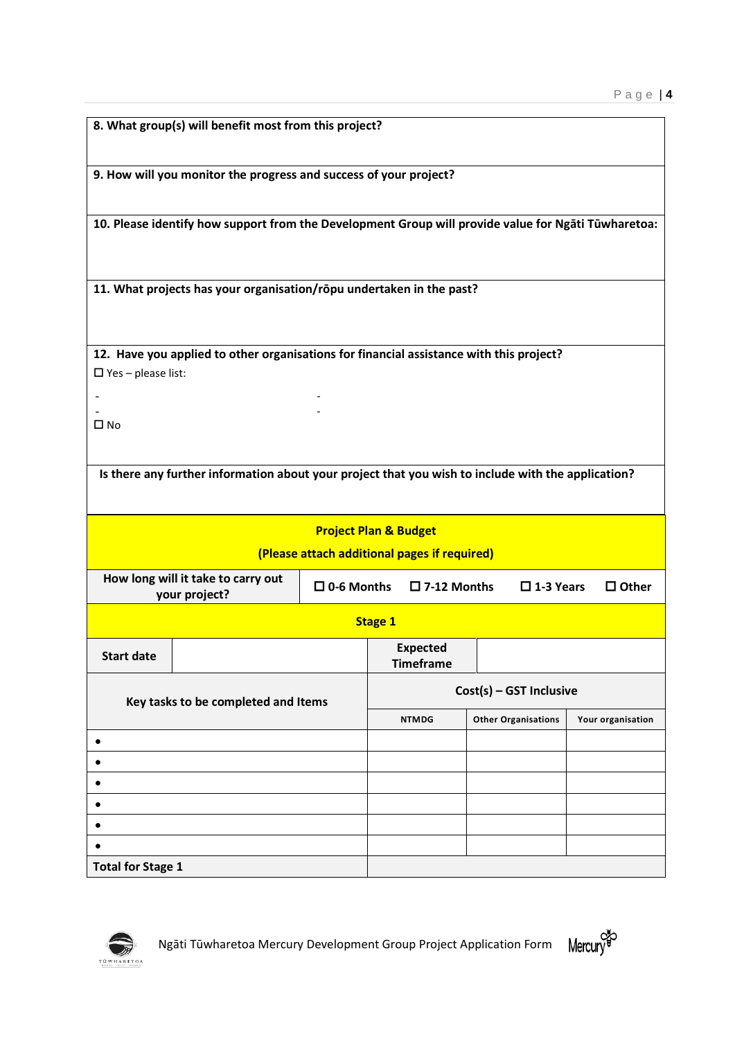|                                     | 8. What group(s) will benefit most from this project?                                                                       |                                              |                                     |                            |                   |  |
|-------------------------------------|-----------------------------------------------------------------------------------------------------------------------------|----------------------------------------------|-------------------------------------|----------------------------|-------------------|--|
|                                     | 9. How will you monitor the progress and success of your project?                                                           |                                              |                                     |                            |                   |  |
|                                     |                                                                                                                             |                                              |                                     |                            |                   |  |
|                                     | 10. Please identify how support from the Development Group will provide value for Ngāti Tūwharetoa:                         |                                              |                                     |                            |                   |  |
|                                     |                                                                                                                             |                                              |                                     |                            |                   |  |
|                                     | 11. What projects has your organisation/rōpu undertaken in the past?                                                        |                                              |                                     |                            |                   |  |
|                                     |                                                                                                                             |                                              |                                     |                            |                   |  |
|                                     | 12. Have you applied to other organisations for financial assistance with this project?                                     |                                              |                                     |                            |                   |  |
| $\Box$ Yes - please list:           |                                                                                                                             |                                              |                                     |                            |                   |  |
|                                     |                                                                                                                             |                                              |                                     |                            |                   |  |
| $\square$ No                        |                                                                                                                             |                                              |                                     |                            |                   |  |
|                                     |                                                                                                                             |                                              |                                     |                            |                   |  |
|                                     | Is there any further information about your project that you wish to include with the application?                          |                                              |                                     |                            |                   |  |
|                                     |                                                                                                                             |                                              |                                     |                            |                   |  |
|                                     |                                                                                                                             |                                              | <b>Project Plan &amp; Budget</b>    |                            |                   |  |
|                                     |                                                                                                                             | (Please attach additional pages if required) |                                     |                            |                   |  |
|                                     | How long will it take to carry out<br>$\square$ 0-6 Months<br>$\square$ 7-12 Months<br>$\square$ 1-3 Years<br>your project? |                                              |                                     | $\Box$ Other               |                   |  |
|                                     |                                                                                                                             |                                              | <b>Stage 1</b>                      |                            |                   |  |
| <b>Start date</b>                   |                                                                                                                             |                                              | <b>Expected</b><br><b>Timeframe</b> |                            |                   |  |
| Key tasks to be completed and Items |                                                                                                                             | Cost(s) - GST Inclusive                      |                                     |                            |                   |  |
|                                     |                                                                                                                             | <b>NTMDG</b>                                 |                                     | <b>Other Organisations</b> | Your organisation |  |
| ٠                                   |                                                                                                                             |                                              |                                     |                            |                   |  |
|                                     |                                                                                                                             |                                              |                                     |                            |                   |  |
|                                     |                                                                                                                             |                                              |                                     |                            |                   |  |
|                                     |                                                                                                                             |                                              |                                     |                            |                   |  |
|                                     |                                                                                                                             |                                              |                                     |                            |                   |  |
|                                     |                                                                                                                             |                                              |                                     |                            |                   |  |
| <b>Total for Stage 1</b>            |                                                                                                                             |                                              |                                     |                            |                   |  |



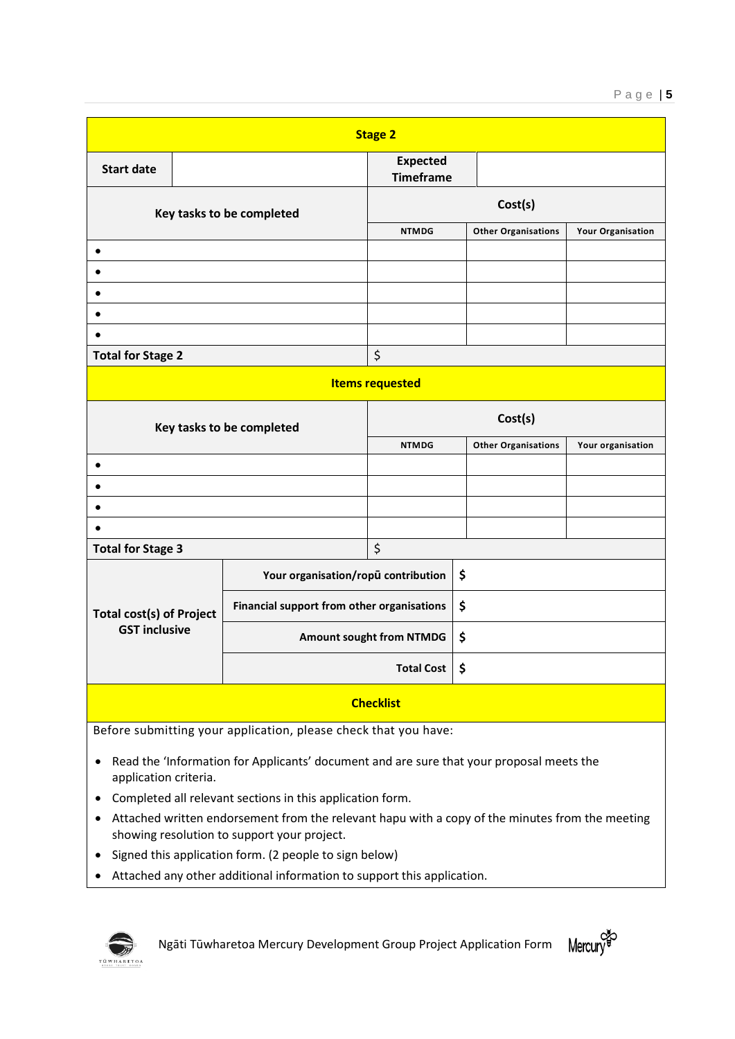| <b>Stage 2</b>                                                 |  |                                            |                                     |                            |                            |                   |
|----------------------------------------------------------------|--|--------------------------------------------|-------------------------------------|----------------------------|----------------------------|-------------------|
| <b>Start date</b>                                              |  |                                            | <b>Expected</b><br><b>Timeframe</b> |                            |                            |                   |
| Key tasks to be completed                                      |  | Cost(s)                                    |                                     |                            |                            |                   |
|                                                                |  | <b>NTMDG</b>                               |                                     | <b>Other Organisations</b> | <b>Your Organisation</b>   |                   |
| $\bullet$                                                      |  |                                            |                                     |                            |                            |                   |
| $\bullet$                                                      |  |                                            |                                     |                            |                            |                   |
| $\bullet$                                                      |  |                                            |                                     |                            |                            |                   |
| $\bullet$                                                      |  |                                            |                                     |                            |                            |                   |
|                                                                |  |                                            |                                     |                            |                            |                   |
| <b>Total for Stage 2</b>                                       |  | \$                                         |                                     |                            |                            |                   |
| <b>Items requested</b>                                         |  |                                            |                                     |                            |                            |                   |
| Key tasks to be completed                                      |  | Cost(s)                                    |                                     |                            |                            |                   |
|                                                                |  |                                            | <b>NTMDG</b>                        |                            | <b>Other Organisations</b> | Your organisation |
| $\bullet$                                                      |  |                                            |                                     |                            |                            |                   |
| $\bullet$                                                      |  |                                            |                                     |                            |                            |                   |
|                                                                |  |                                            |                                     |                            |                            |                   |
|                                                                |  |                                            |                                     |                            |                            |                   |
| \$<br><b>Total for Stage 3</b>                                 |  |                                            |                                     |                            |                            |                   |
|                                                                |  | Your organisation/ropū contribution        |                                     | \$                         |                            |                   |
| <b>Total cost(s) of Project</b><br><b>GST inclusive</b>        |  | Financial support from other organisations |                                     | \$                         |                            |                   |
|                                                                |  | Amount sought from NTMDG                   |                                     | \$                         |                            |                   |
|                                                                |  | <b>Total Cost</b>                          |                                     | \$                         |                            |                   |
| <b>Checklist</b>                                               |  |                                            |                                     |                            |                            |                   |
| Before submitting your application, please sheek that you have |  |                                            |                                     |                            |                            |                   |

Before submitting your application, please check that you have:

- Read the 'Information for Applicants' document and are sure that your proposal meets the application criteria.
- Completed all relevant sections in this application form.
- Attached written endorsement from the relevant hapu with a copy of the minutes from the meeting showing resolution to support your project.
- Signed this application form. (2 people to sign below)
- Attached any other additional information to support this application.